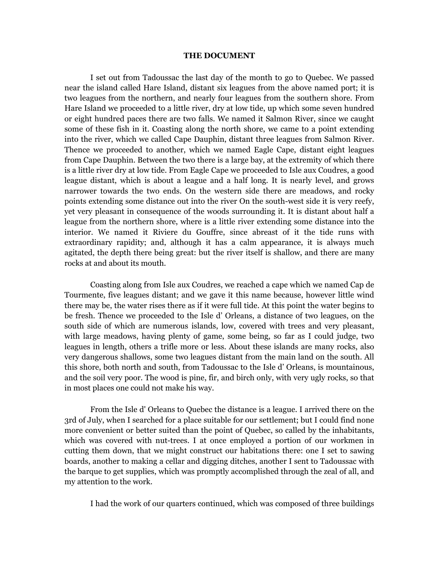## **THE DOCUMENT**

I set out from Tadoussac the last day of the month to go to Quebec. We passed near the island called Hare Island, distant six leagues from the above named port; it is two leagues from the northern, and nearly four leagues from the southern shore. From Hare Island we proceeded to a little river, dry at low tide, up which some seven hundred or eight hundred paces there are two falls. We named it Salmon River, since we caught some of these fish in it. Coasting along the north shore, we came to a point extending into the river, which we called Cape Dauphin, distant three leagues from Salmon River. Thence we proceeded to another, which we named Eagle Cape, distant eight leagues from Cape Dauphin. Between the two there is a large bay, at the extremity of which there is a little river dry at low tide. From Eagle Cape we proceeded to Isle aux Coudres, a good league distant, which is about a league and a half long. It is nearly level, and grows narrower towards the two ends. On the western side there are meadows, and rocky points extending some distance out into the river On the south-west side it is very reefy, yet very pleasant in consequence of the woods surrounding it. It is distant about half a league from the northern shore, where is a little river extending some distance into the interior. We named it Riviere du Gouffre, since abreast of it the tide runs with extraordinary rapidity; and, although it has a calm appearance, it is always much agitated, the depth there being great: but the river itself is shallow, and there are many rocks at and about its mouth.

Coasting along from Isle aux Coudres, we reached a cape which we named Cap de Tourmente, five leagues distant; and we gave it this name because, however little wind there may be, the water rises there as if it were full tide. At this point the water begins to be fresh. Thence we proceeded to the Isle d' Orleans, a distance of two leagues, on the south side of which are numerous islands, low, covered with trees and very pleasant, with large meadows, having plenty of game, some being, so far as I could judge, two leagues in length, others a trifle more or less. About these islands are many rocks, also very dangerous shallows, some two leagues distant from the main land on the south. All this shore, both north and south, from Tadoussac to the Isle d' Orleans, is mountainous, and the soil very poor. The wood is pine, fir, and birch only, with very ugly rocks, so that in most places one could not make his way.

From the Isle d' Orleans to Quebec the distance is a league. I arrived there on the 3rd of July, when I searched for a place suitable for our settlement; but I could find none more convenient or better suited than the point of Quebec, so called by the inhabitants, which was covered with nut-trees. I at once employed a portion of our workmen in cutting them down, that we might construct our habitations there: one I set to sawing boards, another to making a cellar and digging ditches, another I sent to Tadoussac with the barque to get supplies, which was promptly accomplished through the zeal of all, and my attention to the work.

I had the work of our quarters continued, which was composed of three buildings